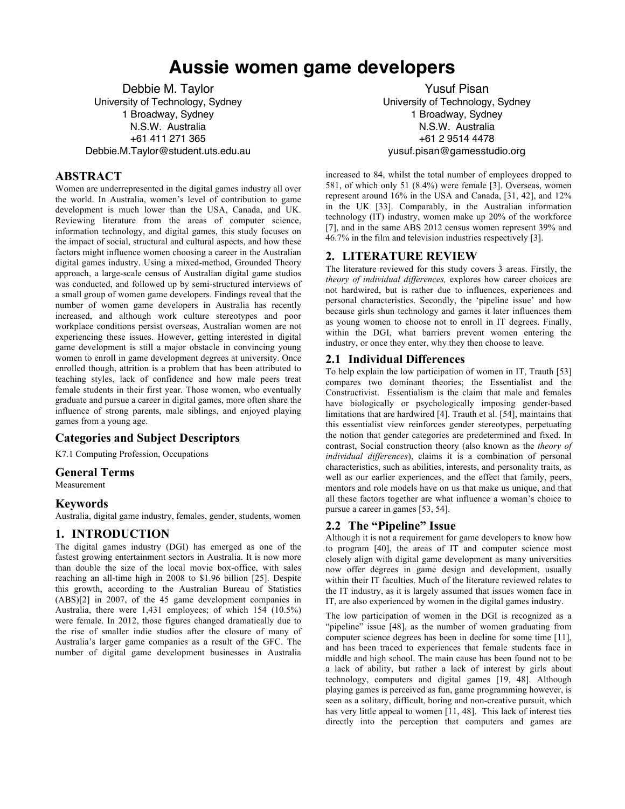# **Aussie women game developers**

Debbie M. Taylor University of Technology, Sydney 1 Broadway, Sydney N.S.W. Australia +61 411 271 365 Debbie.M.Taylor@student.uts.edu.au

# **ABSTRACT**

Women are underrepresented in the digital games industry all over the world. In Australia, women's level of contribution to game development is much lower than the USA, Canada, and UK. Reviewing literature from the areas of computer science, information technology, and digital games, this study focuses on the impact of social, structural and cultural aspects, and how these factors might influence women choosing a career in the Australian digital games industry. Using a mixed-method, Grounded Theory approach, a large-scale census of Australian digital game studios was conducted, and followed up by semi-structured interviews of a small group of women game developers. Findings reveal that the number of women game developers in Australia has recently increased, and although work culture stereotypes and poor workplace conditions persist overseas, Australian women are not experiencing these issues. However, getting interested in digital game development is still a major obstacle in convincing young women to enroll in game development degrees at university. Once enrolled though, attrition is a problem that has been attributed to teaching styles, lack of confidence and how male peers treat female students in their first year. Those women, who eventually graduate and pursue a career in digital games, more often share the influence of strong parents, male siblings, and enjoyed playing games from a young age.

# **Categories and Subject Descriptors**

K7.1 Computing Profession, Occupations

### **General Terms**

Measurement

### **Keywords**

Australia, digital game industry, females, gender, students, women

# **1. INTRODUCTION**

The digital games industry (DGI) has emerged as one of the fastest growing entertainment sectors in Australia. It is now more than double the size of the local movie box-office, with sales reaching an all-time high in 2008 to \$1.96 billion [25]. Despite this growth, according to the Australian Bureau of Statistics (ABS)[2] in 2007, of the 45 game development companies in Australia, there were 1,431 employees; of which 154 (10.5%) were female. In 2012, those figures changed dramatically due to the rise of smaller indie studios after the closure of many of Australia's larger game companies as a result of the GFC. The number of digital game development businesses in Australia

Yusuf Pisan University of Technology, Sydney 1 Broadway, Sydney N.S.W. Australia +61 2 9514 4478 yusuf.pisan@gamesstudio.org

increased to 84, whilst the total number of employees dropped to 581, of which only 51 (8.4%) were female [3]. Overseas, women represent around 16% in the USA and Canada, [31, 42], and 12% in the UK [33]. Comparably, in the Australian information technology (IT) industry, women make up 20% of the workforce [7], and in the same ABS 2012 census women represent 39% and 46.7% in the film and television industries respectively [3].

# **2. LITERATURE REVIEW**

The literature reviewed for this study covers 3 areas. Firstly, the *theory of individual differences,* explores how career choices are not hardwired, but is rather due to influences, experiences and personal characteristics. Secondly, the 'pipeline issue' and how because girls shun technology and games it later influences them as young women to choose not to enroll in IT degrees. Finally, within the DGI, what barriers prevent women entering the industry, or once they enter, why they then choose to leave.

# **2.1 Individual Differences**

To help explain the low participation of women in IT, Trauth [53] compares two dominant theories; the Essentialist and the Constructivist. Essentialism is the claim that male and females have biologically or psychologically imposing gender-based limitations that are hardwired [4]. Trauth et al. [54], maintains that this essentialist view reinforces gender stereotypes, perpetuating the notion that gender categories are predetermined and fixed. In contrast, Social construction theory (also known as the *theory of individual differences*), claims it is a combination of personal characteristics, such as abilities, interests, and personality traits, as well as our earlier experiences, and the effect that family, peers, mentors and role models have on us that make us unique, and that all these factors together are what influence a woman's choice to pursue a career in games [53, 54].

# **2.2 The "Pipeline" Issue**

Although it is not a requirement for game developers to know how to program [40], the areas of IT and computer science most closely align with digital game development as many universities now offer degrees in game design and development, usually within their IT faculties. Much of the literature reviewed relates to the IT industry, as it is largely assumed that issues women face in IT, are also experienced by women in the digital games industry.

The low participation of women in the DGI is recognized as a "pipeline" issue [48], as the number of women graduating from computer science degrees has been in decline for some time [11], and has been traced to experiences that female students face in middle and high school. The main cause has been found not to be a lack of ability, but rather a lack of interest by girls about technology, computers and digital games [19, 48]. Although playing games is perceived as fun, game programming however, is seen as a solitary, difficult, boring and non-creative pursuit, which has very little appeal to women [11, 48]. This lack of interest ties directly into the perception that computers and games are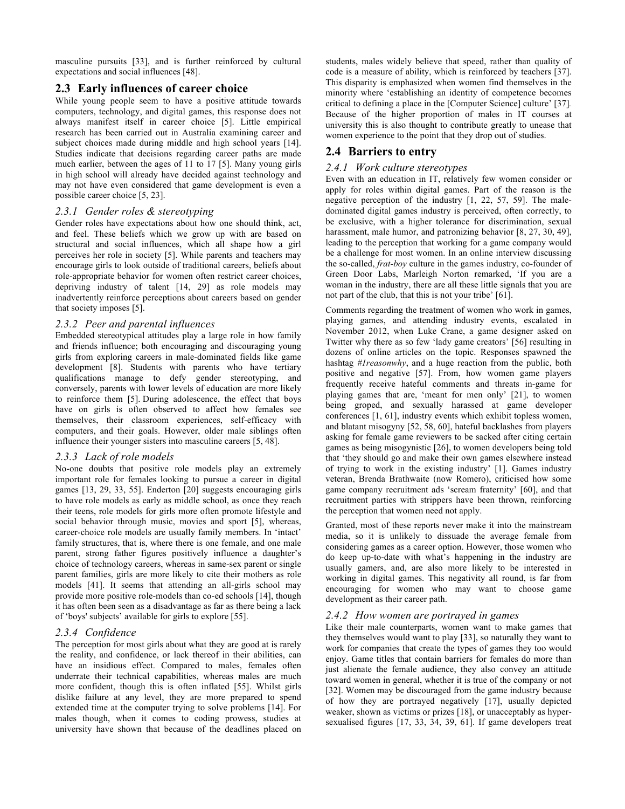masculine pursuits [33], and is further reinforced by cultural expectations and social influences [48].

# **2.3 Early influences of career choice**

While young people seem to have a positive attitude towards computers, technology, and digital games, this response does not always manifest itself in career choice [5]. Little empirical research has been carried out in Australia examining career and subject choices made during middle and high school years [14]. Studies indicate that decisions regarding career paths are made much earlier, between the ages of 11 to 17 [5]. Many young girls in high school will already have decided against technology and may not have even considered that game development is even a possible career choice [5, 23].

### *2.3.1 Gender roles & stereotyping*

Gender roles have expectations about how one should think, act, and feel. These beliefs which we grow up with are based on structural and social influences, which all shape how a girl perceives her role in society [5]. While parents and teachers may encourage girls to look outside of traditional careers, beliefs about role-appropriate behavior for women often restrict career choices, depriving industry of talent [14, 29] as role models may inadvertently reinforce perceptions about careers based on gender that society imposes [5].

### *2.3.2 Peer and parental influences*

Embedded stereotypical attitudes play a large role in how family and friends influence; both encouraging and discouraging young girls from exploring careers in male-dominated fields like game development [8]. Students with parents who have tertiary qualifications manage to defy gender stereotyping, and conversely, parents with lower levels of education are more likely to reinforce them [5]. During adolescence, the effect that boys have on girls is often observed to affect how females see themselves, their classroom experiences, self-efficacy with computers, and their goals. However, older male siblings often influence their younger sisters into masculine careers [5, 48].

### *2.3.3 Lack of role models*

No-one doubts that positive role models play an extremely important role for females looking to pursue a career in digital games [13, 29, 33, 55]. Enderton [20] suggests encouraging girls to have role models as early as middle school, as once they reach their teens, role models for girls more often promote lifestyle and social behavior through music, movies and sport [5], whereas, career-choice role models are usually family members. In 'intact' family structures, that is, where there is one female, and one male parent, strong father figures positively influence a daughter's choice of technology careers, whereas in same-sex parent or single parent families, girls are more likely to cite their mothers as role models [41]. It seems that attending an all-girls school may provide more positive role-models than co-ed schools [14], though it has often been seen as a disadvantage as far as there being a lack of 'boys' subjects' available for girls to explore [55].

### *2.3.4 Confidence*

The perception for most girls about what they are good at is rarely the reality, and confidence, or lack thereof in their abilities, can have an insidious effect. Compared to males, females often underrate their technical capabilities, whereas males are much more confident, though this is often inflated [55]. Whilst girls dislike failure at any level, they are more prepared to spend extended time at the computer trying to solve problems [14]. For males though, when it comes to coding prowess, studies at university have shown that because of the deadlines placed on students, males widely believe that speed, rather than quality of code is a measure of ability, which is reinforced by teachers [37]. This disparity is emphasized when women find themselves in the minority where 'establishing an identity of competence becomes critical to defining a place in the [Computer Science] culture' [37]*.* Because of the higher proportion of males in IT courses at university this is also thought to contribute greatly to unease that women experience to the point that they drop out of studies.

# **2.4 Barriers to entry**

#### *2.4.1 Work culture stereotypes*

Even with an education in IT, relatively few women consider or apply for roles within digital games. Part of the reason is the negative perception of the industry [1, 22, 57, 59]. The maledominated digital games industry is perceived, often correctly, to be exclusive, with a higher tolerance for discrimination, sexual harassment, male humor, and patronizing behavior [8, 27, 30, 49], leading to the perception that working for a game company would be a challenge for most women. In an online interview discussing the so-called, *frat-boy* culture in the games industry, co-founder of Green Door Labs, Marleigh Norton remarked, 'If you are a woman in the industry, there are all these little signals that you are not part of the club, that this is not your tribe' [61].

Comments regarding the treatment of women who work in games, playing games, and attending industry events, escalated in November 2012, when Luke Crane, a game designer asked on Twitter why there as so few 'lady game creators' [56] resulting in dozens of online articles on the topic. Responses spawned the hashtag *#1reasonwhy*, and a huge reaction from the public, both positive and negative [57]. From, how women game players frequently receive hateful comments and threats in-game for playing games that are, 'meant for men only' [21], to women being groped, and sexually harassed at game developer conferences [1, 61], industry events which exhibit topless women, and blatant misogyny [52, 58, 60], hateful backlashes from players asking for female game reviewers to be sacked after citing certain games as being misogynistic [26], to women developers being told that 'they should go and make their own games elsewhere instead of trying to work in the existing industry' [1]. Games industry veteran, Brenda Brathwaite (now Romero), criticised how some game company recruitment ads 'scream fraternity' [60], and that recruitment parties with strippers have been thrown, reinforcing the perception that women need not apply.

Granted, most of these reports never make it into the mainstream media, so it is unlikely to dissuade the average female from considering games as a career option. However, those women who do keep up-to-date with what's happening in the industry are usually gamers, and, are also more likely to be interested in working in digital games. This negativity all round, is far from encouraging for women who may want to choose game development as their career path.

### *2.4.2 How women are portrayed in games*

Like their male counterparts, women want to make games that they themselves would want to play [33], so naturally they want to work for companies that create the types of games they too would enjoy. Game titles that contain barriers for females do more than just alienate the female audience, they also convey an attitude toward women in general, whether it is true of the company or not [32]. Women may be discouraged from the game industry because of how they are portrayed negatively [17], usually depicted weaker, shown as victims or prizes [18], or unacceptably as hypersexualised figures [17, 33, 34, 39, 61]. If game developers treat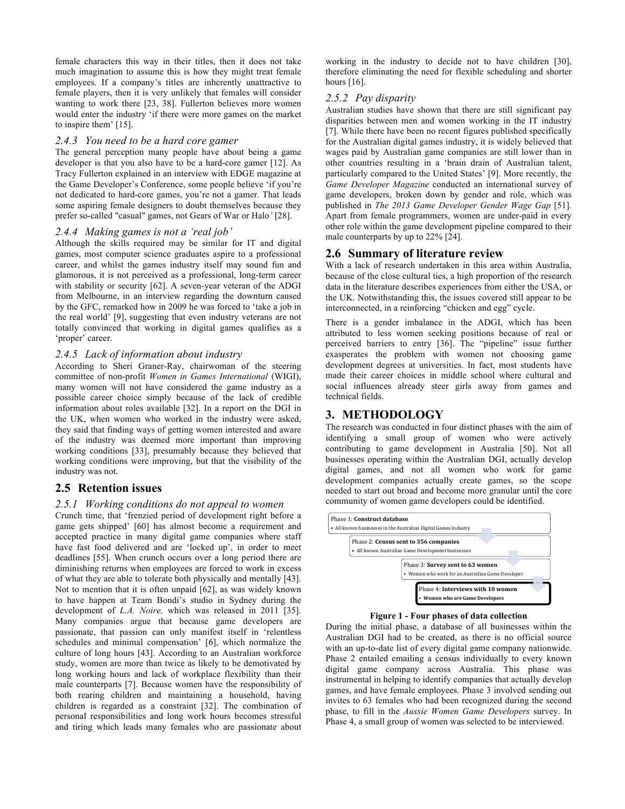female characters this way in their titles, then it does not take much imagination to assume this is how they might treat female employees. If a company's titles are inherently unattractive to female players, then it is very unlikely that females will consider wanting to work there [23, 38]. Fullerton believes more women would enter the industry 'if there were more games on the market to inspire them' [15].

### *2.4.3 You need to be a hard core gamer*

The general perception many people have about being a game developer is that you also have to be a hard-core gamer [12]. As Tracy Fullerton explained in an interview with EDGE magazine at the Game Developer's Conference, some people believe 'if you're not dedicated to hard-core games, you're not a gamer. That leads some aspiring female designers to doubt themselves because they prefer so-called "casual" games, not Gears of War or Halo*'* [28].

### *2.4.4 Making games is not a 'real job'*

Although the skills required may be similar for IT and digital games, most computer science graduates aspire to a professional career, and whilst the games industry itself may sound fun and glamorous, it is not perceived as a professional, long-term career with stability or security [62]. A seven-year veteran of the ADGI from Melbourne, in an interview regarding the downturn caused by the GFC, remarked how in 2009 he was forced to 'take a job in the real world' [9], suggesting that even industry veterans are not totally convinced that working in digital games qualifies as a 'proper' career.

### *2.4.5 Lack of information about industry*

According to Sheri Graner-Ray, chairwoman of the steering committee of non-profit *Women in Games International* (WIGI), many women will not have considered the game industry as a possible career choice simply because of the lack of credible information about roles available [32]. In a report on the DGI in the UK, when women who worked in the industry were asked, they said that finding ways of getting women interested and aware of the industry was deemed more important than improving working conditions [33], presumably because they believed that working conditions were improving, but that the visibility of the industry was not.

### **2.5 Retention issues**

### *2.5.1 Working conditions do not appeal to women*

Crunch time, that 'frenzied period of development right before a game gets shipped' [60] has almost become a requirement and accepted practice in many digital game companies where staff have fast food delivered and are 'locked up', in order to meet deadlines [55]. When crunch occurs over a long period there are diminishing returns when employees are forced to work in excess of what they are able to tolerate both physically and mentally [43]. Not to mention that it is often unpaid [62], as was widely known to have happen at Team Bondi's studio in Sydney during the development of *L.A. Noire,* which was released in 2011 [35]. Many companies argue that because game developers are passionate, that passion can only manifest itself in 'relentless schedules and minimal compensation' [6], which normalize the culture of long hours [43]. According to an Australian workforce study, women are more than twice as likely to be demotivated by long working hours and lack of workplace flexibility than their male counterparts [7]. Because women have the responsibility of both rearing children and maintaining a household, having children is regarded as a constraint [32]. The combination of personal responsibilities and long work hours becomes stressful and tiring which leads many females who are passionate about

working in the industry to decide not to have children [30], therefore eliminating the need for flexible scheduling and shorter hours [16].

#### *2.5.2 Pay disparity*

Australian studies have shown that there are still significant pay disparities between men and women working in the IT industry [7]. While there have been no recent figures published specifically for the Australian digital games industry, it is widely believed that wages paid by Australian game companies are still lower than in other countries resulting in a 'brain drain of Australian talent, particularly compared to the United States' [9]. More recently, the *Game Developer Magazine* conducted an international survey of game developers, broken down by gender and role, which was published in *The 2013 Game Developer Gender Wage Gap* [51]*.* Apart from female programmers, women are under-paid in every other role within the game development pipeline compared to their male counterparts by up to 22% [24].

### **2.6 Summary of literature review**

With a lack of research undertaken in this area within Australia, because of the close cultural ties, a high proportion of the research data in the literature describes experiences from either the USA, or the UK. Notwithstanding this, the issues covered still appear to be interconnected, in a reinforcing "chicken and egg" cycle.

There is a gender imbalance in the ADGI, which has been attributed to less women seeking positions because of real or perceived barriers to entry [36]. The "pipeline" issue further exasperates the problem with women not choosing game development degrees at universities. In fact, most students have made their career choices in middle school where cultural and social influences already steer girls away from games and technical fields.

# **3. METHODOLOGY**

The research was conducted in four distinct phases with the aim of identifying a small group of women who were actively contributing to game development in Australia [50]. Not all businesses operating within the Australian DGI, actually develop digital games, and not all women who work for game development companies actually create games, so the scope needed to start out broad and become more granular until the core community of women game developers could be identified.



**Figure 1 - Four phases of data collection**

During the initial phase, a database of all businesses within the Australian DGI had to be created, as there is no official source with an up-to-date list of every digital game company nationwide. Phase 2 entailed emailing a census individually to every known digital game company across Australia. This phase was instrumental in helping to identify companies that actually develop games, and have female employees. Phase 3 involved sending out invites to 63 females who had been recognized during the second phase, to fill in the *Aussie Women Game Developers* survey. In Phase 4, a small group of women was selected to be interviewed.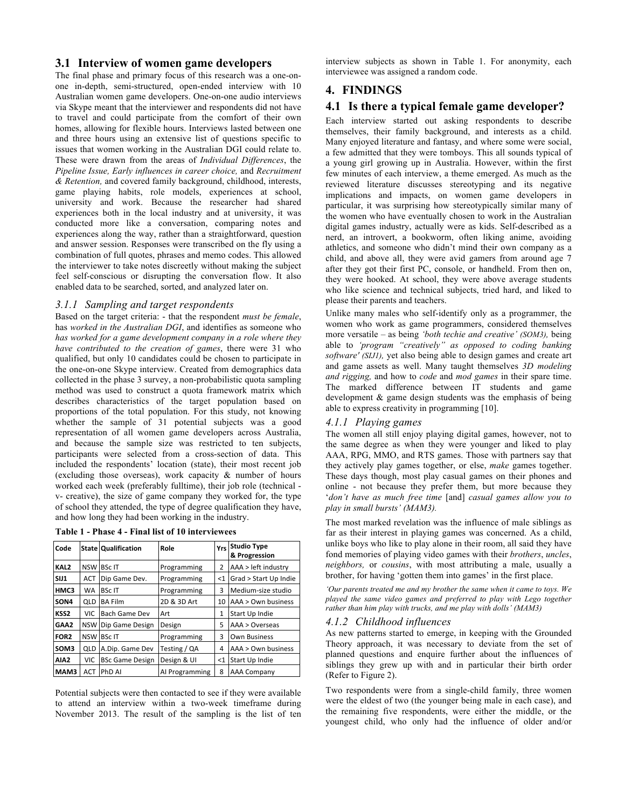# **3.1 Interview of women game developers**

The final phase and primary focus of this research was a one-onone in-depth, semi-structured, open-ended interview with 10 Australian women game developers. One-on-one audio interviews via Skype meant that the interviewer and respondents did not have to travel and could participate from the comfort of their own homes, allowing for flexible hours. Interviews lasted between one and three hours using an extensive list of questions specific to issues that women working in the Australian DGI could relate to. These were drawn from the areas of *Individual Differences*, the *Pipeline Issue, Early influences in career choice,* and *Recruitment & Retention,* and covered family background, childhood, interests, game playing habits, role models, experiences at school, university and work. Because the researcher had shared experiences both in the local industry and at university, it was conducted more like a conversation, comparing notes and experiences along the way, rather than a straightforward, question and answer session. Responses were transcribed on the fly using a combination of full quotes, phrases and memo codes. This allowed the interviewer to take notes discreetly without making the subject feel self-conscious or disrupting the conversation flow. It also enabled data to be searched, sorted, and analyzed later on.

### *3.1.1 Sampling and target respondents*

Based on the target criteria: - that the respondent *must be female*, has *worked in the Australian DGI*, and identifies as someone who *has worked for a game development company in a role where they have contributed to the creation of games*, there were 31 who qualified, but only 10 candidates could be chosen to participate in the one-on-one Skype interview. Created from demographics data collected in the phase 3 survey, a non-probabilistic quota sampling method was used to construct a quota framework matrix which describes characteristics of the target population based on proportions of the total population. For this study, not knowing whether the sample of 31 potential subjects was a good representation of all women game developers across Australia, and because the sample size was restricted to ten subjects, participants were selected from a cross-section of data. This included the respondents' location (state), their most recent job (excluding those overseas), work capacity & number of hours worked each week (preferably fulltime), their job role (technical v- creative), the size of game company they worked for, the type of school they attended, the type of degree qualification they have, and how long they had been working in the industry.

| Code             |            | State Qualification    | Role           |              | Yrs Studio Type<br>& Progression |
|------------------|------------|------------------------|----------------|--------------|----------------------------------|
| KAL <sub>2</sub> | <b>NSW</b> | <b>BScIT</b>           | Programming    | 2            | AAA > left industry              |
| SIJ1             | <b>ACT</b> | Dip Game Dev.          | Programming    | ${<}1$       | Grad > Start Up Indie            |
| HMC3             | WA         | <b>BScIT</b>           | Programming    | 3            | Medium-size studio               |
| SON4             | <b>QLD</b> | <b>BA Film</b>         | 2D & 3D Art    | 10           | $AAA > Own$ business             |
| KSS2             | <b>VIC</b> | Bach Game Dev          | Art            | $\mathbf{1}$ | Start Up Indie                   |
| GAA2             | <b>NSW</b> | Dip Game Design        | Design         | 5            | $AAA >$ Overseas                 |
| FOR <sub>2</sub> | <b>NSW</b> | <b>BScIT</b>           | Programming    | 3            | <b>Own Business</b>              |
| SOM3             | QLD        | A.Dip. Game Dev        | Testing / QA   | 4            | AAA > Own business               |
| AIA <sub>2</sub> | VIC        | <b>BSc Game Design</b> | Design & UI    | ${<}1$       | Start Up Indie                   |
| MAM3             | <b>ACT</b> | PhD AI                 | Al Programming | 8            | <b>AAA Company</b>               |

Potential subjects were then contacted to see if they were available to attend an interview within a two-week timeframe during November 2013. The result of the sampling is the list of ten interview subjects as shown in Table 1. For anonymity, each interviewee was assigned a random code.

# **4. FINDINGS**

# **4.1 Is there a typical female game developer?**

Each interview started out asking respondents to describe themselves, their family background, and interests as a child. Many enjoyed literature and fantasy, and where some were social, a few admitted that they were tomboys. This all sounds typical of a young girl growing up in Australia. However, within the first few minutes of each interview, a theme emerged. As much as the reviewed literature discusses stereotyping and its negative implications and impacts, on women game developers in particular, it was surprising how stereotypically similar many of the women who have eventually chosen to work in the Australian digital games industry, actually were as kids. Self-described as a nerd, an introvert, a bookworm, often liking anime, avoiding athletics, and someone who didn't mind their own company as a child, and above all, they were avid gamers from around age 7 after they got their first PC, console, or handheld. From then on, they were hooked. At school, they were above average students who like science and technical subjects, tried hard, and liked to please their parents and teachers.

Unlike many males who self-identify only as a programmer, the women who work as game programmers, considered themselves more versatile – as being *'both techie and creative' (SOM3),* being able to *'program "creatively" as opposed to coding banking software' (SIJ1),* yet also being able to design games and create art and game assets as well. Many taught themselves *3D modeling and rigging,* and how to *code* and *mod games* in their spare time. The marked difference between IT students and game development & game design students was the emphasis of being able to express creativity in programming [10].

# *4.1.1 Playing games*

The women all still enjoy playing digital games, however, not to the same degree as when they were younger and liked to play AAA, RPG, MMO, and RTS games. Those with partners say that they actively play games together, or else, *make* games together. These days though, most play casual games on their phones and online - not because they prefer them, but more because they '*don't have as much free time* [and] *casual games allow you to play in small bursts' (MAM3).*

The most marked revelation was the influence of male siblings as far as their interest in playing games was concerned. As a child, unlike boys who like to play alone in their room, all said they have fond memories of playing video games with their *brothers*, *uncles*, *neighbors,* or *cousins*, with most attributing a male, usually a brother, for having 'gotten them into games' in the first place.

*'Our parents treated me and my brother the same when it came to toys. We played the same video games and preferred to play with Lego together rather than him play with trucks, and me play with dolls' (MAM3)*

### *4.1.2 Childhood influences*

As new patterns started to emerge, in keeping with the Grounded Theory approach, it was necessary to deviate from the set of planned questions and enquire further about the influences of siblings they grew up with and in particular their birth order (Refer to Figure 2).

Two respondents were from a single-child family, three women were the eldest of two (the younger being male in each case), and the remaining five respondents, were either the middle, or the youngest child, who only had the influence of older and/or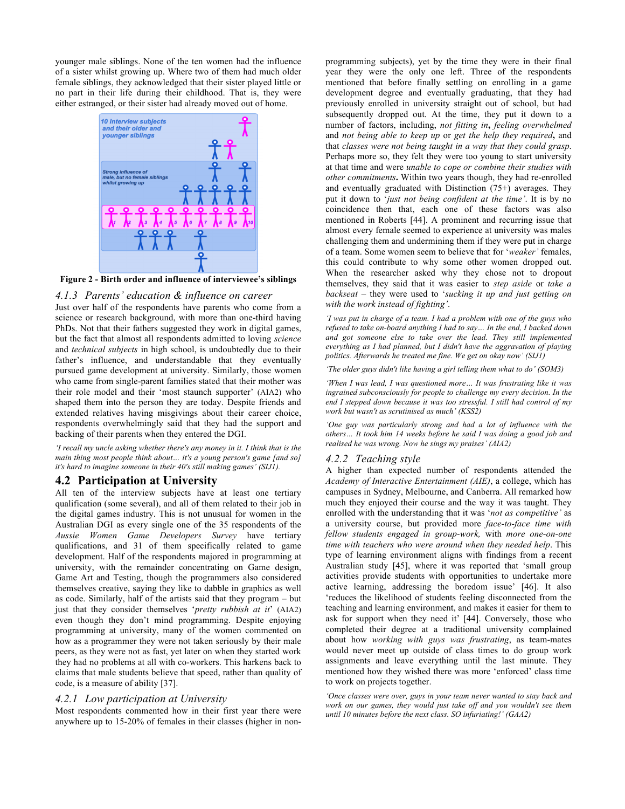younger male siblings. None of the ten women had the influence of a sister whilst growing up. Where two of them had much older female siblings, they acknowledged that their sister played little or no part in their life during their childhood. That is, they were either estranged, or their sister had already moved out of home.



**Figure 2 - Birth order and influence of interviewee's siblings**

### *4.1.3 Parents' education & influence on career*

Just over half of the respondents have parents who come from a science or research background, with more than one-third having PhDs. Not that their fathers suggested they work in digital games, but the fact that almost all respondents admitted to loving *science* and *technical subjects* in high school, is undoubtedly due to their father's influence, and understandable that they eventually pursued game development at university. Similarly, those women who came from single-parent families stated that their mother was their role model and their 'most staunch supporter' (AIA2) who shaped them into the person they are today. Despite friends and extended relatives having misgivings about their career choice, respondents overwhelmingly said that they had the support and backing of their parents when they entered the DGI.

*'I recall my uncle asking whether there's any money in it. I think that is the main thing most people think about… it's a young person's game [and so] it's hard to imagine someone in their 40's still making games' (SIJ1).*

### **4.2 Participation at University**

All ten of the interview subjects have at least one tertiary qualification (some several), and all of them related to their job in the digital games industry. This is not unusual for women in the Australian DGI as every single one of the 35 respondents of the *Aussie Women Game Developers Survey* have tertiary qualifications, and 31 of them specifically related to game development. Half of the respondents majored in programming at university, with the remainder concentrating on Game design, Game Art and Testing, though the programmers also considered themselves creative, saying they like to dabble in graphics as well as code. Similarly, half of the artists said that they program – but just that they consider themselves '*pretty rubbish at it*' (AIA2) even though they don't mind programming. Despite enjoying programming at university, many of the women commented on how as a programmer they were not taken seriously by their male peers, as they were not as fast, yet later on when they started work they had no problems at all with co-workers. This harkens back to claims that male students believe that speed, rather than quality of code, is a measure of ability [37].

### *4.2.1 Low participation at University*

Most respondents commented how in their first year there were anywhere up to 15-20% of females in their classes (higher in nonprogramming subjects), yet by the time they were in their final year they were the only one left. Three of the respondents mentioned that before finally settling on enrolling in a game development degree and eventually graduating, that they had previously enrolled in university straight out of school, but had subsequently dropped out. At the time, they put it down to a number of factors, including, *not fitting in***,** *feeling overwhelmed* and *not being able to keep up* or *get the help they required***,** and that *classes were not being taught in a way that they could grasp*. Perhaps more so, they felt they were too young to start university at that time and were *unable to cope or combine their studies with other commitments***.** Within two years though, they had re-enrolled and eventually graduated with Distinction (75+) averages. They put it down to '*just not being confident at the time'*. It is by no coincidence then that, each one of these factors was also mentioned in Roberts [44]. A prominent and recurring issue that almost every female seemed to experience at university was males challenging them and undermining them if they were put in charge of a team. Some women seem to believe that for '*weaker'* females, this could contribute to why some other women dropped out. When the researcher asked why they chose not to dropout themselves, they said that it was easier to *step aside* or *take a backseat* – they were used to '*sucking it up and just getting on with the work instead of fighting'*.

*'I was put in charge of a team. I had a problem with one of the guys who refused to take on-board anything I had to say… In the end, I backed down and got someone else to take over the lead. They still implemented everything as I had planned, but I didn't have the aggravation of playing politics. Afterwards he treated me fine. We get on okay now' (SIJ1)*

*'The older guys didn't like having a girl telling them what to do' (SOM3)*

*'When I was lead, I was questioned more… It was frustrating like it was ingrained subconsciously for people to challenge my every decision. In the end I stepped down because it was too stressful. I still had control of my work but wasn't as scrutinised as much' (KSS2)*

*'One guy was particularly strong and had a lot of influence with the others… It took him 14 weeks before he said I was doing a good job and realised he was wrong. Now he sings my praises' (AIA2)*

#### *4.2.2 Teaching style*

A higher than expected number of respondents attended the *Academy of Interactive Entertainment (AIE)*, a college, which has campuses in Sydney, Melbourne, and Canberra. All remarked how much they enjoyed their course and the way it was taught. They enrolled with the understanding that it was '*not as competitive'* as a university course, but provided more *face-to-face time with fellow students engaged in group-work,* with *more one-on-one time with teachers who were around when they needed help*. This type of learning environment aligns with findings from a recent Australian study [45], where it was reported that 'small group activities provide students with opportunities to undertake more active learning, addressing the boredom issue' [46]. It also 'reduces the likelihood of students feeling disconnected from the teaching and learning environment, and makes it easier for them to ask for support when they need it' [44]. Conversely, those who completed their degree at a traditional university complained about how *working with guys was frustrating*, as team-mates would never meet up outside of class times to do group work assignments and leave everything until the last minute. They mentioned how they wished there was more 'enforced' class time to work on projects together.

*'Once classes were over, guys in your team never wanted to stay back and work on our games, they would just take off and you wouldn't see them until 10 minutes before the next class. SO infuriating!' (GAA2)*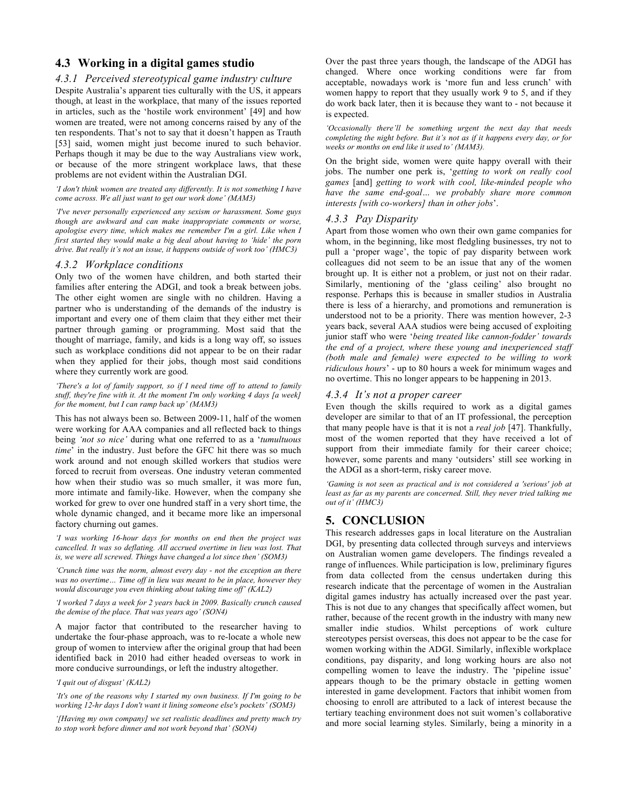# **4.3 Working in a digital games studio**

#### *4.3.1 Perceived stereotypical game industry culture*

Despite Australia's apparent ties culturally with the US, it appears though, at least in the workplace, that many of the issues reported in articles, such as the 'hostile work environment' [49] and how women are treated, were not among concerns raised by any of the ten respondents. That's not to say that it doesn't happen as Trauth [53] said, women might just become inured to such behavior. Perhaps though it may be due to the way Australians view work, or because of the more stringent workplace laws, that these problems are not evident within the Australian DGI.

#### *'I don't think women are treated any differently. It is not something I have come across. We all just want to get our work done' (MAM3)*

*'I've never personally experienced any sexism or harassment. Some guys though are awkward and can make inappropriate comments or worse, apologise every time, which makes me remember I'm a girl. Like when I first started they would make a big deal about having to 'hide' the porn drive. But really it's not an issue, it happens outside of work too' (HMC3)*

### *4.3.2 Workplace conditions*

Only two of the women have children, and both started their families after entering the ADGI, and took a break between jobs. The other eight women are single with no children. Having a partner who is understanding of the demands of the industry is important and every one of them claim that they either met their partner through gaming or programming. Most said that the thought of marriage, family, and kids is a long way off, so issues such as workplace conditions did not appear to be on their radar when they applied for their jobs, though most said conditions where they currently work are good*.*

*'There's a lot of family support, so if I need time off to attend to family stuff, they're fine with it. At the moment I'm only working 4 days [a week] for the moment, but I can ramp back up' (MAM3)*

This has not always been so. Between 2009-11, half of the women were working for AAA companies and all reflected back to things being *'not so nice'* during what one referred to as a '*tumultuous time*' in the industry. Just before the GFC hit there was so much work around and not enough skilled workers that studios were forced to recruit from overseas. One industry veteran commented how when their studio was so much smaller, it was more fun, more intimate and family-like. However, when the company she worked for grew to over one hundred staff in a very short time, the whole dynamic changed, and it became more like an impersonal factory churning out games.

*'I was working 16-hour days for months on end then the project was cancelled. It was so deflating. All accrued overtime in lieu was lost. That is, we were all screwed. Things have changed a lot since then' (SOM3)*

*'Crunch time was the norm, almost every day - not the exception an there was no overtime… Time off in lieu was meant to be in place, however they would discourage you even thinking about taking time off' (KAL2)*

*'I worked 7 days a week for 2 years back in 2009. Basically crunch caused the demise of the place. That was years ago' (SON4)*

A major factor that contributed to the researcher having to undertake the four-phase approach, was to re-locate a whole new group of women to interview after the original group that had been identified back in 2010 had either headed overseas to work in more conducive surroundings, or left the industry altogether.

#### *'I quit out of disgust' (KAL2)*

*'It's one of the reasons why I started my own business. If I'm going to be working 12-hr days I don't want it lining someone else's pockets' (SOM3)*

*'[Having my own company] we set realistic deadlines and pretty much try to stop work before dinner and not work beyond that' (SON4)*

Over the past three years though, the landscape of the ADGI has changed. Where once working conditions were far from acceptable, nowadays work is 'more fun and less crunch' with women happy to report that they usually work 9 to 5, and if they do work back later, then it is because they want to - not because it is expected.

*'Occasionally there'll be something urgent the next day that needs completing the night before. But it's not as if it happens every day, or for weeks or months on end like it used to' (MAM3).*

On the bright side, women were quite happy overall with their jobs. The number one perk is, '*getting to work on really cool games* [and] *getting to work with cool, like-minded people who have the same end-goal… we probably share more common interests [with co-workers] than in other jobs*'.

### *4.3.3 Pay Disparity*

Apart from those women who own their own game companies for whom, in the beginning, like most fledgling businesses, try not to pull a 'proper wage', the topic of pay disparity between work colleagues did not seem to be an issue that any of the women brought up. It is either not a problem, or just not on their radar. Similarly, mentioning of the 'glass ceiling' also brought no response. Perhaps this is because in smaller studios in Australia there is less of a hierarchy, and promotions and remuneration is understood not to be a priority. There was mention however, 2-3 years back, several AAA studios were being accused of exploiting junior staff who were '*being treated like cannon-fodder' towards the end of a project, where these young and inexperienced staff (both male and female) were expected to be willing to work ridiculous hours*' - up to 80 hours a week for minimum wages and no overtime. This no longer appears to be happening in 2013.

#### *4.3.4 It's not a proper career*

Even though the skills required to work as a digital games developer are similar to that of an IT professional, the perception that many people have is that it is not a *real job* [47]. Thankfully, most of the women reported that they have received a lot of support from their immediate family for their career choice; however, some parents and many 'outsiders' still see working in the ADGI as a short-term, risky career move.

*'Gaming is not seen as practical and is not considered a 'serious' job at least as far as my parents are concerned. Still, they never tried talking me out of it' (HMC3)*

# **5. CONCLUSION**

This research addresses gaps in local literature on the Australian DGI, by presenting data collected through surveys and interviews on Australian women game developers. The findings revealed a range of influences. While participation is low, preliminary figures from data collected from the census undertaken during this research indicate that the percentage of women in the Australian digital games industry has actually increased over the past year. This is not due to any changes that specifically affect women, but rather, because of the recent growth in the industry with many new smaller indie studios. Whilst perceptions of work culture stereotypes persist overseas, this does not appear to be the case for women working within the ADGI. Similarly, inflexible workplace conditions, pay disparity, and long working hours are also not compelling women to leave the industry. The 'pipeline issue' appears though to be the primary obstacle in getting women interested in game development. Factors that inhibit women from choosing to enroll are attributed to a lack of interest because the tertiary teaching environment does not suit women's collaborative and more social learning styles. Similarly, being a minority in a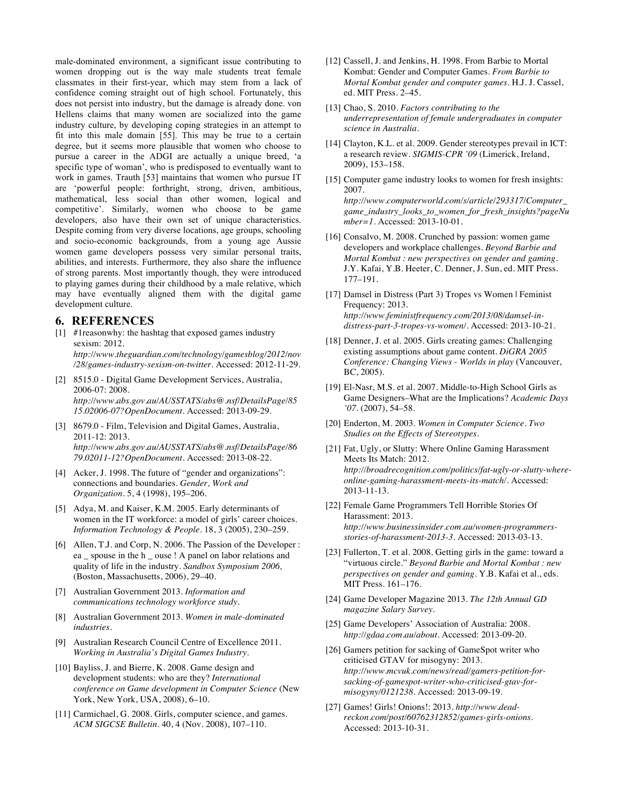male-dominated environment, a significant issue contributing to women dropping out is the way male students treat female classmates in their first-year, which may stem from a lack of confidence coming straight out of high school. Fortunately, this does not persist into industry, but the damage is already done. von Hellens claims that many women are socialized into the game industry culture, by developing coping strategies in an attempt to fit into this male domain [55]. This may be true to a certain degree, but it seems more plausible that women who choose to pursue a career in the ADGI are actually a unique breed, 'a specific type of woman', who is predisposed to eventually want to work in games. Trauth [53] maintains that women who pursue IT are 'powerful people: forthright, strong, driven, ambitious, mathematical, less social than other women, logical and competitive'. Similarly, women who choose to be game developers, also have their own set of unique characteristics. Despite coming from very diverse locations, age groups, schooling and socio-economic backgrounds, from a young age Aussie women game developers possess very similar personal traits, abilities, and interests. Furthermore, they also share the influence of strong parents. Most importantly though, they were introduced to playing games during their childhood by a male relative, which may have eventually aligned them with the digital game development culture.

### **6. REFERENCES**

- [1] #1reasonwhy: the hashtag that exposed games industry sexism: 2012. *http://www.theguardian.com/technology/gamesblog/2012/nov /28/games-industry-sexism-on-twitter*. Accessed: 2012-11-29.
- [2] 8515.0 Digital Game Development Services, Australia, 2006-07: 2008. *http://www.abs.gov.au/AUSSTATS/abs@.nsf/DetailsPage/85 15.02006-07?OpenDocument*. Accessed: 2013-09-29.
- [3] 8679.0 Film, Television and Digital Games, Australia, 2011-12: 2013. *http://www.abs.gov.au/AUSSTATS/abs@.nsf/DetailsPage/86 79.02011-12?OpenDocument*. Accessed: 2013-08-22.
- [4] Acker, J. 1998. The future of "gender and organizations": connections and boundaries. *Gender, Work and Organization*. 5, 4 (1998), 195–206.
- [5] Adya, M. and Kaiser, K.M. 2005. Early determinants of women in the IT workforce: a model of girls' career choices. *Information Technology & People*. 18, 3 (2005), 230–259.
- [6] Allen, T.J. and Corp, N. 2006. The Passion of the Developer : ea \_ spouse in the h \_ ouse ! A panel on labor relations and quality of life in the industry. *Sandbox Symposium 2006,* (Boston, Massachusetts, 2006), 29–40.
- [7] Australian Government 2013. *Information and communications technology workforce study*.
- [8] Australian Government 2013. *Women in male-dominated industries*.
- [9] Australian Research Council Centre of Excellence 2011. *Working in Australia's Digital Games Industry*.
- [10] Bayliss, J. and Bierre, K. 2008. Game design and development students: who are they? *International conference on Game development in Computer Science* (New York, New York, USA, 2008), 6–10.
- [11] Carmichael, G. 2008. Girls, computer science, and games. *ACM SIGCSE Bulletin*. 40, 4 (Nov. 2008), 107–110.
- [12] Cassell, J. and Jenkins, H. 1998. From Barbie to Mortal Kombat: Gender and Computer Games. *From Barbie to Mortal Kombat gender and computer games*. H.J. J. Cassel, ed. MIT Press. 2–45.
- [13] Chao, S. 2010. *Factors contributing to the underrepresentation of female undergraduates in computer science in Australia*.
- [14] Clayton, K.L. et al. 2009. Gender stereotypes prevail in ICT: a research review. *SIGMIS-CPR '09* (Limerick, Ireland, 2009), 153–158.
- [15] Computer game industry looks to women for fresh insights: 2007.

*http://www.computerworld.com/s/article/293317/Computer\_ game\_industry\_looks\_to\_women\_for\_fresh\_insights?pageNu mber=1*. Accessed: 2013-10-01.

- [16] Consalvo, M. 2008. Crunched by passion: women game developers and workplace challenges. *Beyond Barbie and Mortal Kombat : new perspectives on gender and gaming*. J.Y. Kafai, Y.B. Heeter, C. Denner, J. Sun, ed. MIT Press. 177–191.
- [17] Damsel in Distress (Part 3) Tropes vs Women | Feminist Frequency: 2013. *http://www.feministfrequency.com/2013/08/damsel-indistress-part-3-tropes-vs-women/*. Accessed: 2013-10-21.
- [18] Denner, J. et al. 2005. Girls creating games: Challenging existing assumptions about game content. *DiGRA 2005 Conference: Changing Views - Worlds in play* (Vancouver, BC, 2005).
- [19] El-Nasr, M.S. et al. 2007. Middle-to-High School Girls as Game Designers–What are the Implications? *Academic Days '07*. (2007), 54–58.
- [20] Enderton, M. 2003. *Women in Computer Science. Two Studies on the Effects of Stereotypes*.
- [21] Fat, Ugly, or Slutty: Where Online Gaming Harassment Meets Its Match: 2012. *http://broadrecognition.com/politics/fat-ugly-or-slutty-whereonline-gaming-harassment-meets-its-match/*. Accessed: 2013-11-13.
- [22] Female Game Programmers Tell Horrible Stories Of Harassment: 2013. *http://www.businessinsider.com.au/women-programmersstories-of-harassment-2013-3*. Accessed: 2013-03-13.
- [23] Fullerton, T. et al. 2008. Getting girls in the game: toward a "virtuous circle." *Beyond Barbie and Mortal Kombat : new perspectives on gender and gaming*. Y.B. Kafai et al., eds. MIT Press. 161–176.
- [24] Game Developer Magazine 2013. *The 12th Annual GD magazine Salary Survey*.
- [25] Game Developers' Association of Australia: 2008. *http://gdaa.com.au/about*. Accessed: 2013-09-20.
- [26] Gamers petition for sacking of GameSpot writer who criticised GTAV for misogyny: 2013. *http://www.mcvuk.com/news/read/gamers-petition-forsacking-of-gamespot-writer-who-criticised-gtav-formisogyny/0121238*. Accessed: 2013-09-19.
- [27] Games! Girls! Onions!: 2013. *http://www.deadreckon.com/post/60762312852/games-girls-onions*. Accessed: 2013-10-31.